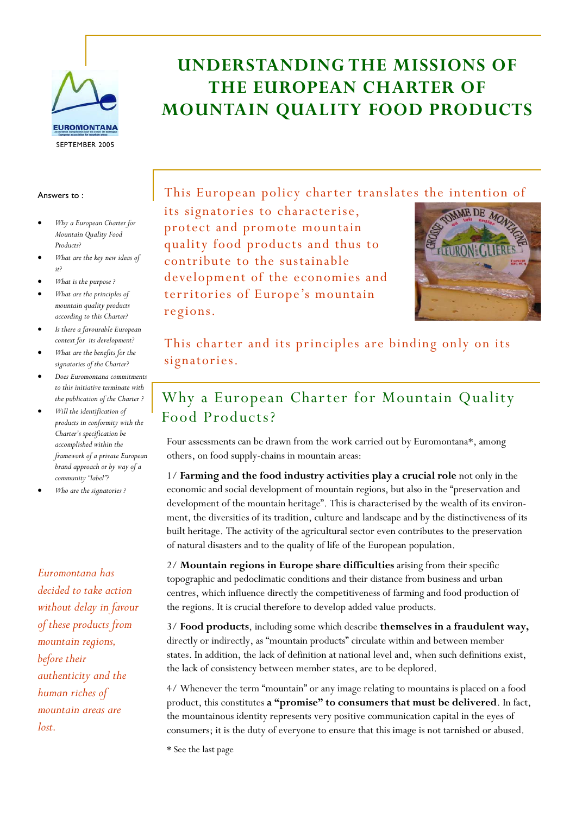

#### Answers to :

- *Why a European Charter for Mountain Quality Food Products?*
- *What are the key new ideas of it?*
- *What is the purpose ?*
- *What are the principles of mountain quality products according to this Charter?*
- *Is there a favourable European context for its development?*
- *What are the benefits for the signatories of the Charter?*
- *Does Euromontana commitments to this initiative terminate with the publication of the Charter ?*
- *Will the identification of products in conformity with the Charter's specification be accomplished within the framework of a private European brand approach or by way of a community "label"?*
- *Who are the signatories ?*

*Euromontana has decided to take action without delay in favour of these products from mountain regions, before their authenticity and the human riches of mountain areas are lost.* 

# **UNDERSTANDING THE MISSIONS OF THE EUROPEAN CHARTER OF MOUNTAIN QUALITY FOOD PRODUCTS**

This European policy charter translates the intention of

its signatories to characterise, protect and promote mountain quality food products and thus to contribute to the sustainable development of the economies and territories of Europe's mountain regions.



This charter and its principles are binding only on its signatories.

#### Why a European Charter for Mountain Quality Food Products?

Four assessments can be drawn from the work carried out by Euromontana\*, among others, on food supply-chains in mountain areas:

1/ **Farming and the food industry activities play a crucial role** not only in the economic and social development of mountain regions, but also in the "preservation and development of the mountain heritage". This is characterised by the wealth of its environment, the diversities of its tradition, culture and landscape and by the distinctiveness of its built heritage. The activity of the agricultural sector even contributes to the preservation of natural disasters and to the quality of life of the European population.

2/ **Mountain regions in Europe share difficulties** arising from their specific topographic and pedoclimatic conditions and their distance from business and urban centres, which influence directly the competitiveness of farming and food production of the regions. It is crucial therefore to develop added value products.

3/ **Food products**, including some which describe **themselves in a fraudulent way,** directly or indirectly, as "mountain products" circulate within and between member states. In addition, the lack of definition at national level and, when such definitions exist, the lack of consistency between member states, are to be deplored.

4/ Whenever the term "mountain" or any image relating to mountains is placed on a food product, this constitutes **a "promise" to consumers that must be delivered**. In fact, the mountainous identity represents very positive communication capital in the eyes of consumers; it is the duty of everyone to ensure that this image is not tarnished or abused.

\* See the last page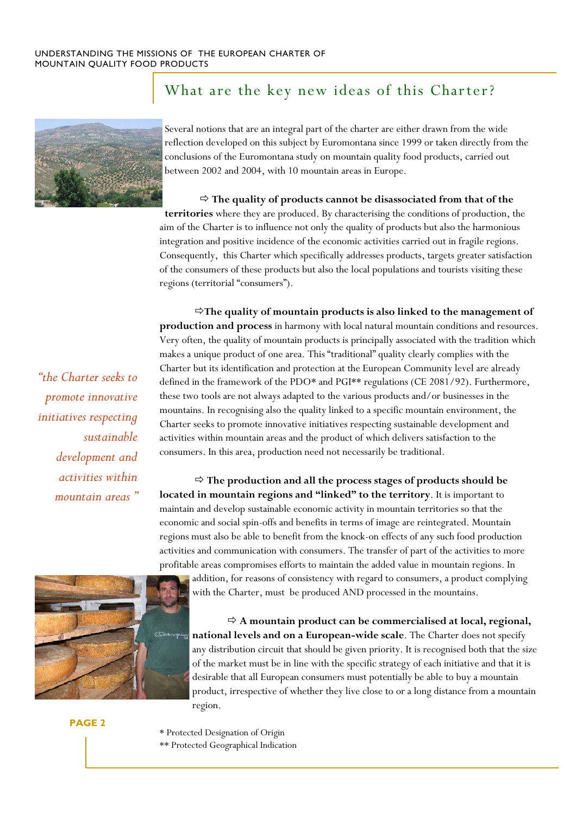

#### What are the key new ideas of this Charter?

Several notions that are an integral part of the charter are either drawn from the wide reflection developed on this subject by Euromontana since 1999 or taken directly from the conclusions of the Euromontana study on mountain quality food products, carried out between 2002 and 2004, with 10 mountain areas in Europe.

Ö **The quality of products cannot be disassociated from that of the territories** where they are produced. By characterising the conditions of production, the aim of the Charter is to influence not only the quality of products but also the harmonious integration and positive incidence of the economic activities carried out in fragile regions. Consequently, this Charter which specifically addresses products, targets greater satisfaction of the consumers of these products but also the local populations and tourists visiting these regions (territorial "consumers").

Ö**The quality of mountain products is also linked to the management of production and process** in harmony with local natural mountain conditions and resources. Very often, the quality of mountain products is principally associated with the tradition which makes a unique product of one area. This "traditional" quality clearly complies with the Charter but its identification and protection at the European Community level are already defined in the framework of the PDO\* and PGI\*\* regulations (CE 2081/92). Furthermore, these two tools are not always adapted to the various products and/or businesses in the mountains. In recognising also the quality linked to a specific mountain environment, the Charter seeks to promote innovative initiatives respecting sustainable development and activities within mountain areas and the product of which delivers satisfaction to the consumers. In this area, production need not necessarily be traditional.

Ö **The production and all the process stages of products should be located in mountain regions and "linked" to the territory**. It is important to maintain and develop sustainable economic activity in mountain territories so that the economic and social spin-offs and benefits in terms of image are reintegrated. Mountain regions must also be able to benefit from the knock-on effects of any such food production activities and communication with consumers. The transfer of part of the activities to more profitable areas compromises efforts to maintain the added value in mountain regions. In

addition, for reasons of consistency with regard to consumers, a product complying with the Charter, must be produced AND processed in the mountains.

Ö **A mountain product can be commercialised at local, regional, national levels and on a European-wide scale**. The Charter does not specify any distribution circuit that should be given priority. It is recognised both that the size of the market must be in line with the specific strategy of each initiative and that it is desirable that all European consumers must potentially be able to buy a mountain product, irrespective of whether they live close to or a long distance from a mountain region.

\* Protected Designation of Origin \*\* Protected Geographical Indication

*"the Charter seeks to promote innovative initiatives respecting sustainable development and activities within mountain areas "* 

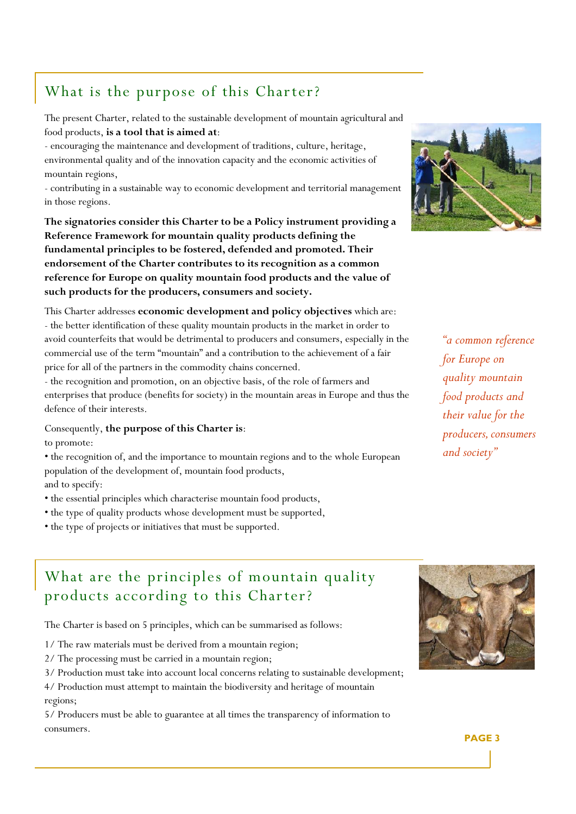## What is the purpose of this Charter?

The present Charter, related to the sustainable development of mountain agricultural and food products, **is a tool that is aimed at**:

- encouraging the maintenance and development of traditions, culture, heritage, environmental quality and of the innovation capacity and the economic activities of mountain regions,

- contributing in a sustainable way to economic development and territorial management in those regions.

**The signatories consider this Charter to be a Policy instrument providing a Reference Framework for mountain quality products defining the fundamental principles to be fostered, defended and promoted. Their endorsement of the Charter contributes to its recognition as a common reference for Europe on quality mountain food products and the value of such products for the producers, consumers and society.** 

This Charter addresses **economic development and policy objectives** which are: - the better identification of these quality mountain products in the market in order to avoid counterfeits that would be detrimental to producers and consumers, especially in the commercial use of the term "mountain" and a contribution to the achievement of a fair price for all of the partners in the commodity chains concerned.

- the recognition and promotion, on an objective basis, of the role of farmers and enterprises that produce (benefits for society) in the mountain areas in Europe and thus the defence of their interests.

Consequently, **the purpose of this Charter is**: to promote:

• the recognition of, and the importance to mountain regions and to the whole European population of the development of, mountain food products,

and to specify:

- the essential principles which characterise mountain food products,
- the type of quality products whose development must be supported,
- the type of projects or initiatives that must be supported.



*"a common reference for Europe on quality mountain food products and their value for the producers, consumers and society"* 

#### What are the principles of mountain quality products according to this Charter?

The Charter is based on 5 principles, which can be summarised as follows:

- 1/ The raw materials must be derived from a mountain region;
- 2/ The processing must be carried in a mountain region;
- 3/ Production must take into account local concerns relating to sustainable development;

4/ Production must attempt to maintain the biodiversity and heritage of mountain regions;

5/ Producers must be able to guarantee at all times the transparency of information to consumers.

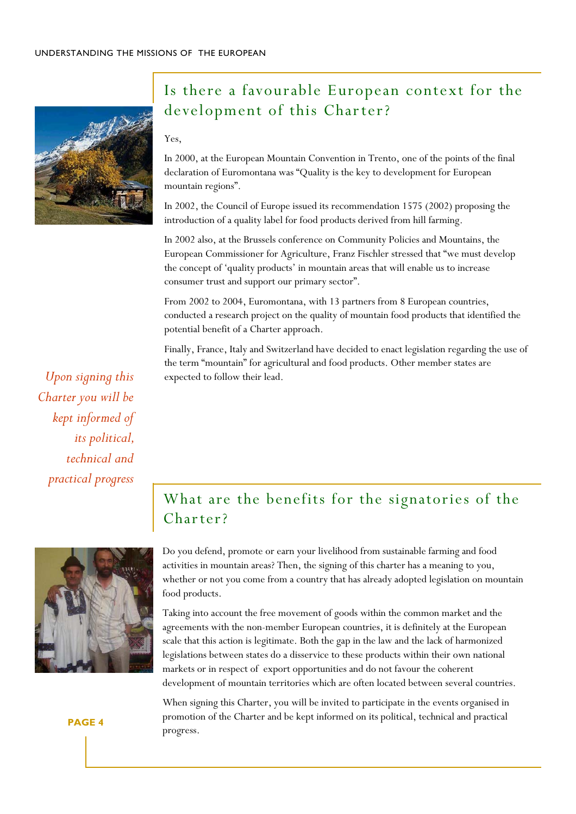

#### Is there a favourable European context for the development of this Charter?

#### Yes,

In 2000, at the European Mountain Convention in Trento, one of the points of the final declaration of Euromontana was "Quality is the key to development for European mountain regions".

In 2002, the Council of Europe issued its recommendation 1575 (2002) proposing the introduction of a quality label for food products derived from hill farming.

In 2002 also, at the Brussels conference on Community Policies and Mountains, the European Commissioner for Agriculture, Franz Fischler stressed that "we must develop the concept of 'quality products' in mountain areas that will enable us to increase consumer trust and support our primary sector".

From 2002 to 2004, Euromontana, with 13 partners from 8 European countries, conducted a research project on the quality of mountain food products that identified the potential benefit of a Charter approach.

Finally, France, Italy and Switzerland have decided to enact legislation regarding the use of the term "mountain" for agricultural and food products. Other member states are expected to follow their lead.

*Upon signing this Charter you will be kept informed of its political, technical and practical progress* 



### What are the benefits for the signatories of the Charter?

Do you defend, promote or earn your livelihood from sustainable farming and food activities in mountain areas? Then, the signing of this charter has a meaning to you, whether or not you come from a country that has already adopted legislation on mountain food products.

Taking into account the free movement of goods within the common market and the agreements with the non-member European countries, it is definitely at the European scale that this action is legitimate. Both the gap in the law and the lack of harmonized legislations between states do a disservice to these products within their own national markets or in respect of export opportunities and do not favour the coherent development of mountain territories which are often located between several countries.

When signing this Charter, you will be invited to participate in the events organised in promotion of the Charter and be kept informed on its political, technical and practical progress.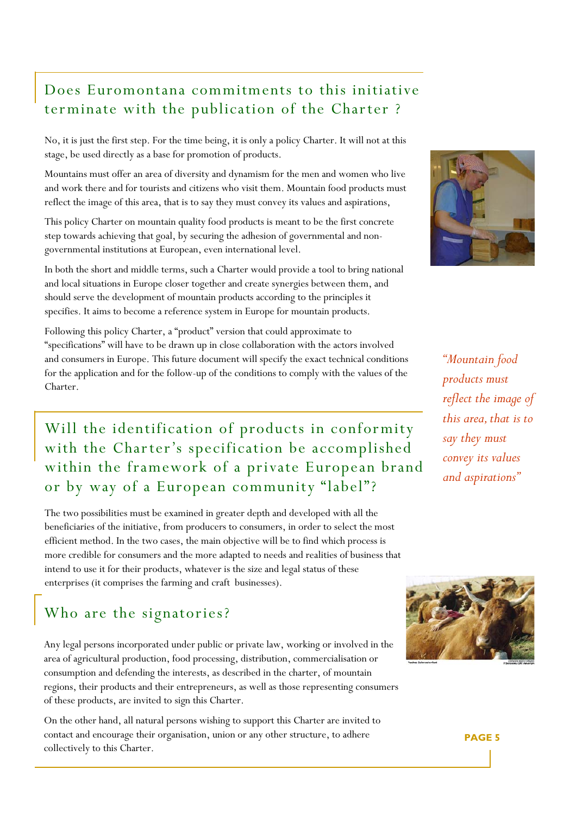#### Does Euromontana commitments to this initiative terminate with the publication of the Charter ?

No, it is just the first step. For the time being, it is only a policy Charter. It will not at this stage, be used directly as a base for promotion of products.

Mountains must offer an area of diversity and dynamism for the men and women who live and work there and for tourists and citizens who visit them. Mountain food products must reflect the image of this area, that is to say they must convey its values and aspirations,

This policy Charter on mountain quality food products is meant to be the first concrete step towards achieving that goal, by securing the adhesion of governmental and nongovernmental institutions at European, even international level.

In both the short and middle terms, such a Charter would provide a tool to bring national and local situations in Europe closer together and create synergies between them, and should serve the development of mountain products according to the principles it specifies. It aims to become a reference system in Europe for mountain products.

Following this policy Charter, a "product" version that could approximate to "specifications" will have to be drawn up in close collaboration with the actors involved and consumers in Europe. This future document will specify the exact technical conditions for the application and for the follow-up of the conditions to comply with the values of the Charter.

## Will the identification of products in conformity with the Charter's specification be accomplished within the framework of a private European brand or by way of a European community "label"?

The two possibilities must be examined in greater depth and developed with all the beneficiaries of the initiative, from producers to consumers, in order to select the most efficient method. In the two cases, the main objective will be to find which process is more credible for consumers and the more adapted to needs and realities of business that intend to use it for their products, whatever is the size and legal status of these enterprises (it comprises the farming and craft businesses).

## Who are the signatories?

Any legal persons incorporated under public or private law, working or involved in the area of agricultural production, food processing, distribution, commercialisation or consumption and defending the interests, as described in the charter, of mountain regions, their products and their entrepreneurs, as well as those representing consumers of these products, are invited to sign this Charter.

On the other hand, all natural persons wishing to support this Charter are invited to contact and encourage their organisation, union or any other structure, to adhere collectively to this Charter.



*"Mountain food products must reflect the image of this area, that is to say they must convey its values and aspirations"*